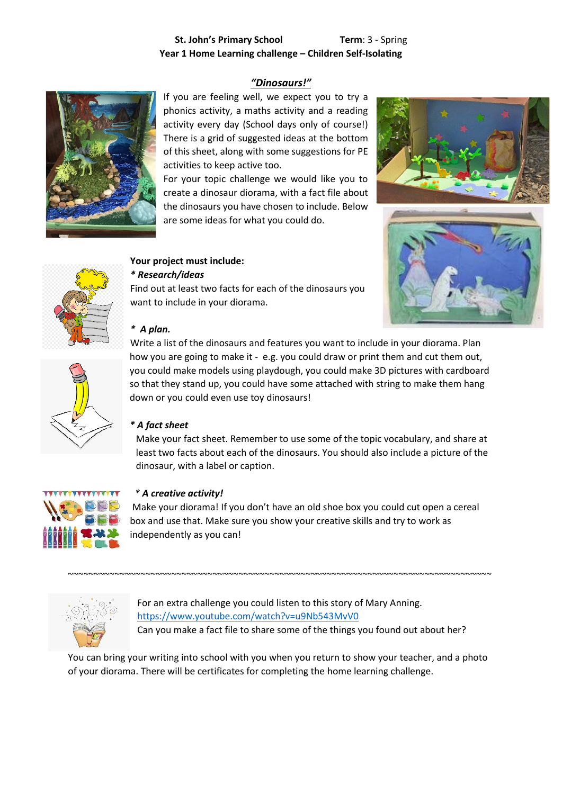# **St. John's Primary School Term**: 3 - Spring **Year 1 Home Learning challenge – Children Self-Isolating**

## *"Dinosaurs!"*



If you are feeling well, we expect you to try a phonics activity, a maths activity and a reading activity every day (School days only of course!) There is a grid of suggested ideas at the bottom of this sheet, along with some suggestions for PE activities to keep active too.

For your topic challenge we would like you to create a dinosaur diorama, with a fact file about the dinosaurs you have chosen to include. Below are some ideas for what you could do.



## **Your project must include:**

## *\* Research/ideas*

Find out at least two facts for each of the dinosaurs you want to include in your diorama.





#### *\* A plan.*



Write a list of the dinosaurs and features you want to include in your diorama. Plan how you are going to make it - e.g. you could draw or print them and cut them out, you could make models using playdough, you could make 3D pictures with cardboard so that they stand up, you could have some attached with string to make them hang down or you could even use toy dinosaurs!

#### *\* A fact sheet*

Make your fact sheet. Remember to use some of the topic vocabulary, and share at least two facts about each of the dinosaurs. You should also include a picture of the dinosaur, with a label or caption.



#### *\* A creative activity!*

Make your diorama! If you don't have an old shoe box you could cut open a cereal box and use that. Make sure you show your creative skills and try to work as independently as you can!



For an extra challenge you could listen to this story of Mary Anning. <https://www.youtube.com/watch?v=u9Nb543MvV0> Can you make a fact file to share some of the things you found out about her?

You can bring your writing into school with you when you return to show your teacher, and a photo of your diorama. There will be certificates for completing the home learning challenge.

~~~~~~~~~~~~~~~~~~~~~~~~~~~~~~~~~~~~~~~~~~~~~~~~~~~~~~~~~~~~~~~~~~~~~~~~~~~~~~~~~~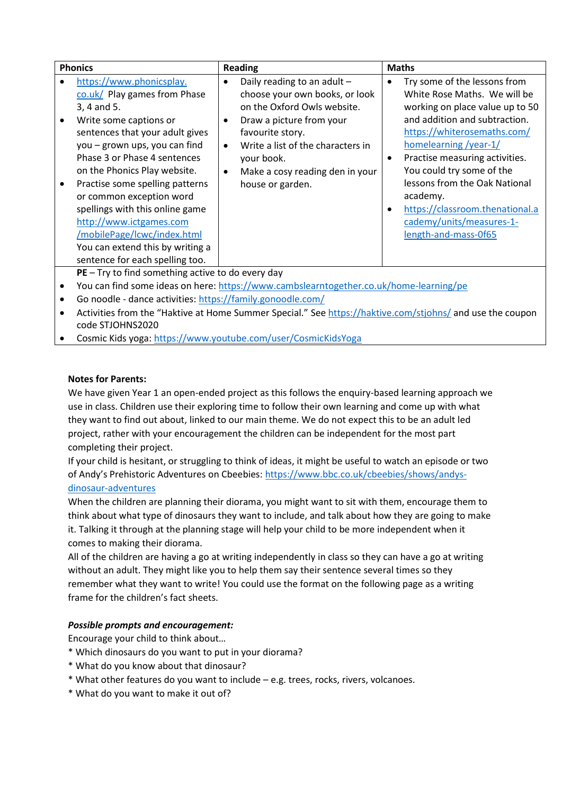| <b>Phonics</b> |                                                                                                                                                                                                                                                                                                                                  | <b>Reading</b>         |                                                                                                                                              | <b>Maths</b> |                                                                                                                                                                                                                          |
|----------------|----------------------------------------------------------------------------------------------------------------------------------------------------------------------------------------------------------------------------------------------------------------------------------------------------------------------------------|------------------------|----------------------------------------------------------------------------------------------------------------------------------------------|--------------|--------------------------------------------------------------------------------------------------------------------------------------------------------------------------------------------------------------------------|
|                | https://www.phonicsplay.<br>co.uk/ Play games from Phase<br>3, 4 and 5.<br>Write some captions or<br>sentences that your adult gives                                                                                                                                                                                             | $\bullet$<br>٠         | Daily reading to an adult -<br>choose your own books, or look<br>on the Oxford Owls website.<br>Draw a picture from your<br>favourite story. |              | Try some of the lessons from<br>White Rose Maths. We will be<br>working on place value up to 50<br>and addition and subtraction.<br>https://whiterosemaths.com/                                                          |
|                | you – grown ups, you can find<br>Phase 3 or Phase 4 sentences<br>on the Phonics Play website.<br>Practise some spelling patterns<br>or common exception word<br>spellings with this online game<br>http://www.ictgames.com<br>/mobilePage/lcwc/index.html<br>You can extend this by writing a<br>sentence for each spelling too. | $\bullet$<br>$\bullet$ | Write a list of the characters in<br>your book.<br>Make a cosy reading den in your<br>house or garden.                                       | ٠            | homelearning /year-1/<br>Practise measuring activities.<br>You could try some of the<br>lessons from the Oak National<br>academy.<br>https://classroom.thenational.a<br>cademy/units/measures-1-<br>length-and-mass-0f65 |
|                | $PE - Try$ to find something active to do every day<br>You can find some ideas on here: https://www.cambslearntogether.co.uk/home-learning/pe                                                                                                                                                                                    |                        |                                                                                                                                              |              |                                                                                                                                                                                                                          |

- Go noodle dance activities[: https://family.gonoodle.com/](https://family.gonoodle.com/)
- Activities from the "Haktive at Home Summer Special." Se[e https://haktive.com/stjohns/](https://haktive.com/stjohns/) and use the coupon code STJOHNS2020
- Cosmic Kids yoga:<https://www.youtube.com/user/CosmicKidsYoga>

#### **Notes for Parents:**

We have given Year 1 an open-ended project as this follows the enquiry-based learning approach we use in class. Children use their exploring time to follow their own learning and come up with what they want to find out about, linked to our main theme. We do not expect this to be an adult led project, rather with your encouragement the children can be independent for the most part completing their project.

If your child is hesitant, or struggling to think of ideas, it might be useful to watch an episode or two of Andy's Prehistoric Adventures on Cbeebies: [https://www.bbc.co.uk/cbeebies/shows/andys](https://www.bbc.co.uk/cbeebies/shows/andys-dinosaur-adventures)[dinosaur-adventures](https://www.bbc.co.uk/cbeebies/shows/andys-dinosaur-adventures)

When the children are planning their diorama, you might want to sit with them, encourage them to think about what type of dinosaurs they want to include, and talk about how they are going to make it. Talking it through at the planning stage will help your child to be more independent when it comes to making their diorama.

All of the children are having a go at writing independently in class so they can have a go at writing without an adult. They might like you to help them say their sentence several times so they remember what they want to write! You could use the format on the following page as a writing frame for the children's fact sheets.

#### *Possible prompts and encouragement:*

Encourage your child to think about…

- \* Which dinosaurs do you want to put in your diorama?
- \* What do you know about that dinosaur?
- \* What other features do you want to include e.g. trees, rocks, rivers, volcanoes.
- \* What do you want to make it out of?